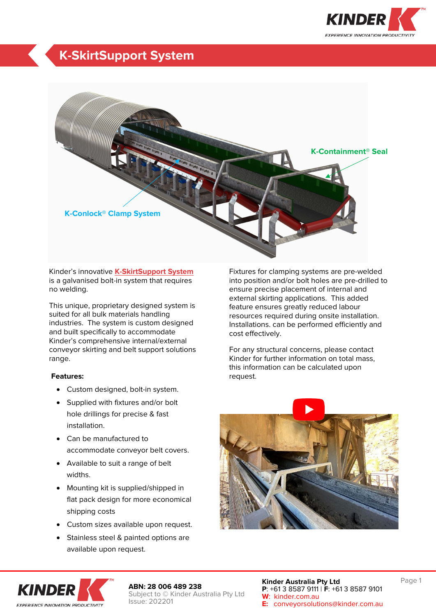

## **K-SkirtSupport System**



Kinder's innovative **[K-SkirtSupport System](https://kinder.com.au/products/k-skirtsupport-system/)** is a galvanised bolt-in system that requires no welding.

This unique, proprietary designed system is suited for all bulk materials handling industries. The system is custom designed and built specifically to accommodate Kinder's comprehensive internal/external conveyor skirting and belt support solutions range.

### **Features:**

- Custom designed, bolt-in system.
- Supplied with fixtures and/or bolt hole drillings for precise & fast installation.
- Can be manufactured to accommodate conveyor belt covers.
- Available to suit a range of belt widths.
- Mounting kit is supplied/shipped in flat pack design for more economical shipping costs
- Custom sizes available upon request.
- Stainless steel & painted options are available upon request.

Fixtures for clamping systems are pre-welded into position and/or bolt holes are pre-drilled to ensure precise placement of internal and external skirting applications. This added feature ensures greatly reduced labour resources required during onsite installation. Installations. can be performed efficiently and cost effectively.

For any structural concerns, please contact Kinder for further information on total mass, this information can be calculated upon request.





**ABN: 28 006 489 238** Subject to © Kinder Australia Pty Ltd Issue: 202201

**Kinder Australia Pty Ltd P**: +61 3 8587 9111 | **F**: +61 3 8587 9101 **W**: kinder.com.au **E:** conveyorsolutions@kinder.com.au